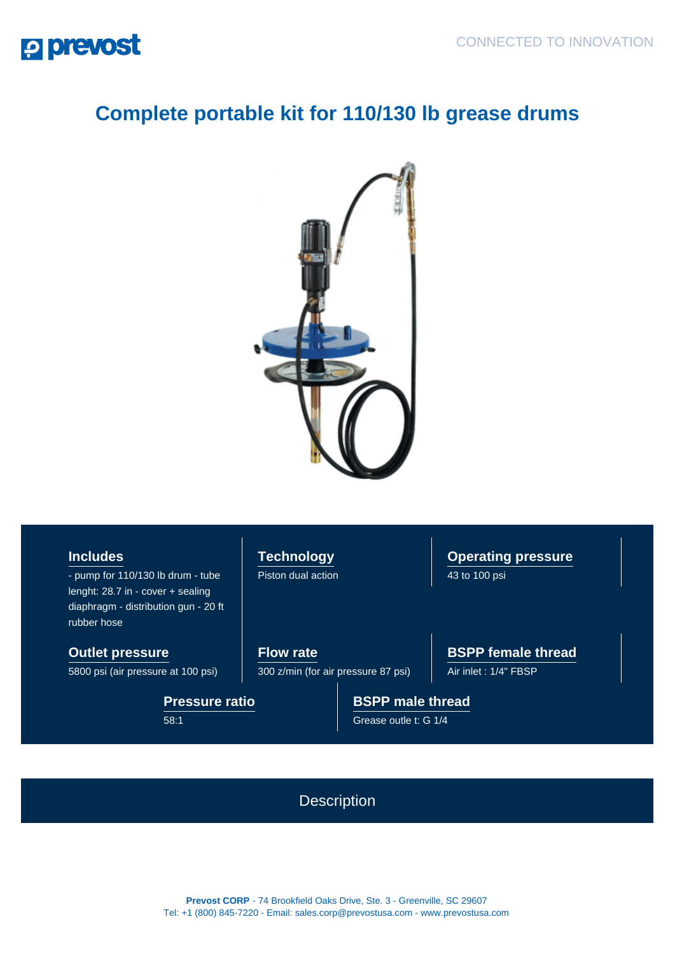

## **Complete portable kit for 110/130 lb grease drums**



**Includes**

- pump for 110/130 lb drum - tube lenght: 28.7 in - cover + sealing diaphragm - distribution gun - 20 ft rubber hose

**Outlet pressure**

5800 psi (air pressure at 100 psi)

**Pressure ratio** 58:1

**Technology** Piston dual action

**Operating pressure** 43 to 100 psi

**Flow rate** 300 z/min (for air pressure 87 psi) **BSPP female thread**

Air inlet : 1/4" FBSP

**BSPP male thread** Grease outle t: G 1/4

**Description** 

**Prevost CORP** - 74 Brookfield Oaks Drive, Ste. 3 - Greenville, SC 29607 Tel: +1 (800) 845-7220 - Email: sales.corp@prevostusa.com - www.prevostusa.com